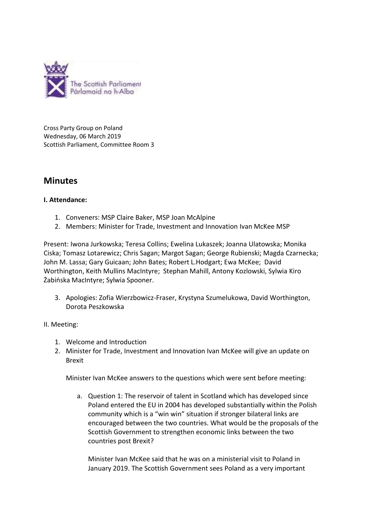

Cross Party Group on Poland Wednesday, 06 March 2019 Scottish Parliament, Committee Room 3

# **Minutes**

### **I. Attendance:**

- 1. Conveners: MSP Claire Baker, MSP Joan McAlpine
- 2. Members: Minister for Trade, Investment and Innovation Ivan McKee MSP

Present: Iwona Jurkowska; Teresa Collins; Ewelina Lukaszek; Joanna Ulatowska; Monika Ciska; Tomasz Lotarewicz; Chris Sagan; Margot Sagan; George Rubienski; Magda Czarnecka; John M. Lassa; Gary Guicaan; John Bates; Robert L.Hodgart; Ewa McKee; David Worthington, Keith Mullins MacIntyre; Stephan Mahill, Antony Kozlowski, Sylwia Kiro Żabińska MacIntyre; Sylwia Spooner.

3. Apologies: Zofia Wierzbowicz-Fraser, Krystyna Szumelukowa, David Worthington, Dorota Peszkowska

II. Meeting:

- 1. Welcome and Introduction
- 2. Minister for Trade, Investment and Innovation Ivan McKee will give an update on Brexit

Minister Ivan McKee answers to the questions which were sent before meeting:

a. Question 1: The reservoir of talent in Scotland which has developed since Poland entered the EU in 2004 has developed substantially within the Polish community which is a "win win" situation if stronger bilateral links are encouraged between the two countries. What would be the proposals of the Scottish Government to strengthen economic links between the two countries post Brexit?

Minister Ivan McKee said that he was on a ministerial visit to Poland in January 2019. The Scottish Government sees Poland as a very important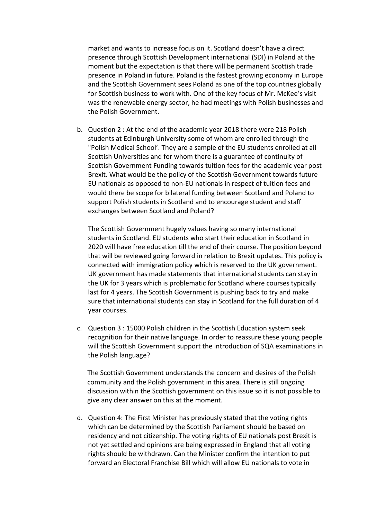market and wants to increase focus on it. Scotland doesn't have a direct presence through Scottish Development international (SDI) in Poland at the moment but the expectation is that there will be permanent Scottish trade presence in Poland in future. Poland is the fastest growing economy in Europe and the Scottish Government sees Poland as one of the top countries globally for Scottish business to work with. One of the key focus of Mr. McKee's visit was the renewable energy sector, he had meetings with Polish businesses and the Polish Government.

b. Question 2 : At the end of the academic year 2018 there were 218 Polish students at Edinburgh University some of whom are enrolled through the "Polish Medical School'. They are a sample of the EU students enrolled at all Scottish Universities and for whom there is a guarantee of continuity of Scottish Government Funding towards tuition fees for the academic year post Brexit. What would be the policy of the Scottish Government towards future EU nationals as opposed to non-EU nationals in respect of tuition fees and would there be scope for bilateral funding between Scotland and Poland to support Polish students in Scotland and to encourage student and staff exchanges between Scotland and Poland?

The Scottish Government hugely values having so many international students in Scotland. EU students who start their education in Scotland in 2020 will have free education till the end of their course. The position beyond that will be reviewed going forward in relation to Brexit updates. This policy is connected with immigration policy which is reserved to the UK government. UK government has made statements that international students can stay in the UK for 3 years which is problematic for Scotland where courses typically last for 4 years. The Scottish Government is pushing back to try and make sure that international students can stay in Scotland for the full duration of 4 year courses.

c. Question 3 : 15000 Polish children in the Scottish Education system seek recognition for their native language. In order to reassure these young people will the Scottish Government support the introduction of SQA examinations in the Polish language?

The Scottish Government understands the concern and desires of the Polish community and the Polish government in this area. There is still ongoing discussion within the Scottish government on this issue so it is not possible to give any clear answer on this at the moment.

d. Question 4: The First Minister has previously stated that the voting rights which can be determined by the Scottish Parliament should be based on residency and not citizenship. The voting rights of EU nationals post Brexit is not yet settled and opinions are being expressed in England that all voting rights should be withdrawn. Can the Minister confirm the intention to put forward an Electoral Franchise Bill which will allow EU nationals to vote in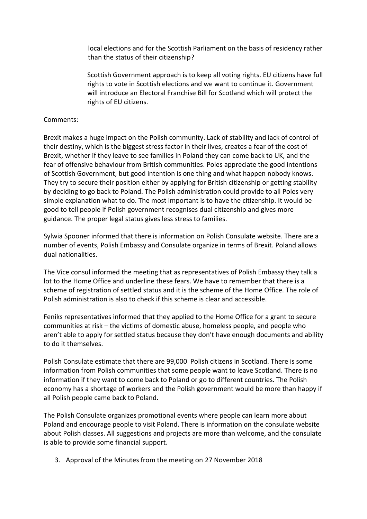local elections and for the Scottish Parliament on the basis of residency rather than the status of their citizenship?

Scottish Government approach is to keep all voting rights. EU citizens have full rights to vote in Scottish elections and we want to continue it. Government will introduce an Electoral Franchise Bill for Scotland which will protect the rights of EU citizens.

#### Comments:

Brexit makes a huge impact on the Polish community. Lack of stability and lack of control of their destiny, which is the biggest stress factor in their lives, creates a fear of the cost of Brexit, whether if they leave to see families in Poland they can come back to UK, and the fear of offensive behaviour from British communities. Poles appreciate the good intentions of Scottish Government, but good intention is one thing and what happen nobody knows. They try to secure their position either by applying for British citizenship or getting stability by deciding to go back to Poland. The Polish administration could provide to all Poles very simple explanation what to do. The most important is to have the citizenship. It would be good to tell people if Polish government recognises dual citizenship and gives more guidance. The proper legal status gives less stress to families.

Sylwia Spooner informed that there is information on Polish Consulate website. There are a number of events, Polish Embassy and Consulate organize in terms of Brexit. Poland allows dual nationalities.

The Vice consul informed the meeting that as representatives of Polish Embassy they talk a lot to the Home Office and underline these fears. We have to remember that there is a scheme of registration of settled status and it is the scheme of the Home Office. The role of Polish administration is also to check if this scheme is clear and accessible.

Feniks representatives informed that they applied to the Home Office for a grant to secure communities at risk – the victims of domestic abuse, homeless people, and people who aren't able to apply for settled status because they don't have enough documents and ability to do it themselves.

Polish Consulate estimate that there are 99,000 Polish citizens in Scotland. There is some information from Polish communities that some people want to leave Scotland. There is no information if they want to come back to Poland or go to different countries. The Polish economy has a shortage of workers and the Polish government would be more than happy if all Polish people came back to Poland.

The Polish Consulate organizes promotional events where people can learn more about Poland and encourage people to visit Poland. There is information on the consulate website about Polish classes. All suggestions and projects are more than welcome, and the consulate is able to provide some financial support.

3. Approval of the Minutes from the meeting on 27 November 2018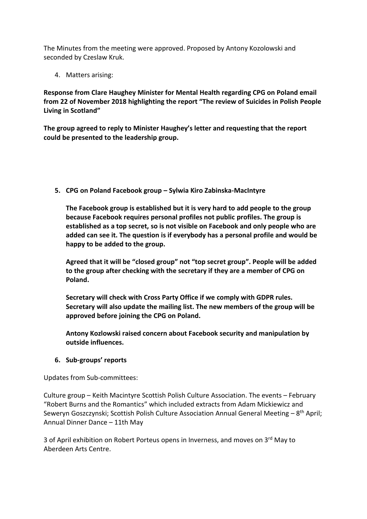The Minutes from the meeting were approved. Proposed by Antony Kozolowski and seconded by Czeslaw Kruk.

4. Matters arising:

**Response from Clare Haughey Minister for Mental Health regarding CPG on Poland email from 22 of November 2018 highlighting the report "The review of Suicides in Polish People Living in Scotland"** 

**The group agreed to reply to Minister Haughey's letter and requesting that the report could be presented to the leadership group.**

**5. CPG on Poland Facebook group – Sylwia Kiro Zabinska-MacIntyre** 

**The Facebook group is established but it is very hard to add people to the group because Facebook requires personal profiles not public profiles. The group is established as a top secret, so is not visible on Facebook and only people who are added can see it. The question is if everybody has a personal profile and would be happy to be added to the group.** 

**Agreed that it will be "closed group" not "top secret group". People will be added to the group after checking with the secretary if they are a member of CPG on Poland.** 

**Secretary will check with Cross Party Office if we comply with GDPR rules. Secretary will also update the mailing list. The new members of the group will be approved before joining the CPG on Poland.** 

**Antony Kozlowski raised concern about Facebook security and manipulation by outside influences.** 

### **6. Sub-groups' reports**

Updates from Sub-committees:

Culture group – Keith Macintyre Scottish Polish Culture Association. The events – February "Robert Burns and the Romantics" which included extracts from Adam Mickiewicz and Seweryn Goszczynski; Scottish Polish Culture Association Annual General Meeting – 8<sup>th</sup> April; Annual Dinner Dance – 11th May

3 of April exhibition on Robert Porteus opens in Inverness, and moves on 3<sup>rd</sup> May to Aberdeen Arts Centre.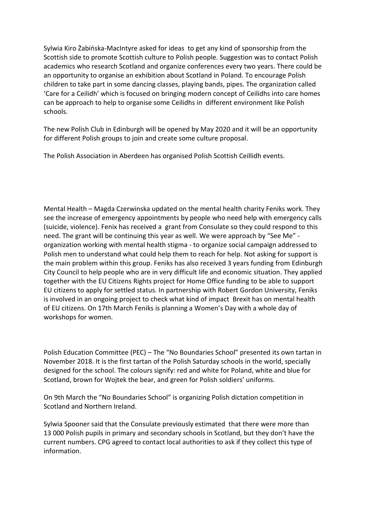Sylwia Kiro Żabińska-MacIntyre asked for ideas to get any kind of sponsorship from the Scottish side to promote Scottish culture to Polish people. Suggestion was to contact Polish academics who research Scotland and organize conferences every two years. There could be an opportunity to organise an exhibition about Scotland in Poland. To encourage Polish children to take part in some dancing classes, playing bands, pipes. The organization called 'Care for a Ceilidh' which is focused on bringing modern concept of Ceilidhs into care homes can be approach to help to organise some Ceilidhs in different environment like Polish schools.

The new Polish Club in Edinburgh will be opened by May 2020 and it will be an opportunity for different Polish groups to join and create some culture proposal.

The Polish Association in Aberdeen has organised Polish Scottish Ceillidh events.

Mental Health – Magda Czerwinska updated on the mental health charity Feniks work. They see the increase of emergency appointments by people who need help with emergency calls (suicide, violence). Fenix has received a grant from Consulate so they could respond to this need. The grant will be continuing this year as well. We were approach by "See Me" organization working with mental health stigma - to organize social campaign addressed to Polish men to understand what could help them to reach for help. Not asking for support is the main problem within this group. Feniks has also received 3 years funding from Edinburgh City Council to help people who are in very difficult life and economic situation. They applied together with the EU Citizens Rights project for Home Office funding to be able to support EU citizens to apply for settled status. In partnership with Robert Gordon University, Feniks is involved in an ongoing project to check what kind of impact Brexit has on mental health of EU citizens. On 17th March Feniks is planning a Women's Day with a whole day of workshops for women.

Polish Education Committee (PEC) – The "No Boundaries School" presented its own tartan in November 2018. It is the first tartan of the Polish Saturday schools in the world, specially designed for the school. The colours signify: red and white for Poland, white and blue for Scotland, brown for Wojtek the bear, and green for Polish soldiers' uniforms.

On 9th March the "No Boundaries School" is organizing Polish dictation competition in Scotland and Northern Ireland.

Sylwia Spooner said that the Consulate previously estimated that there were more than 13 000 Polish pupils in primary and secondary schools in Scotland, but they don't have the current numbers. CPG agreed to contact local authorities to ask if they collect this type of information.